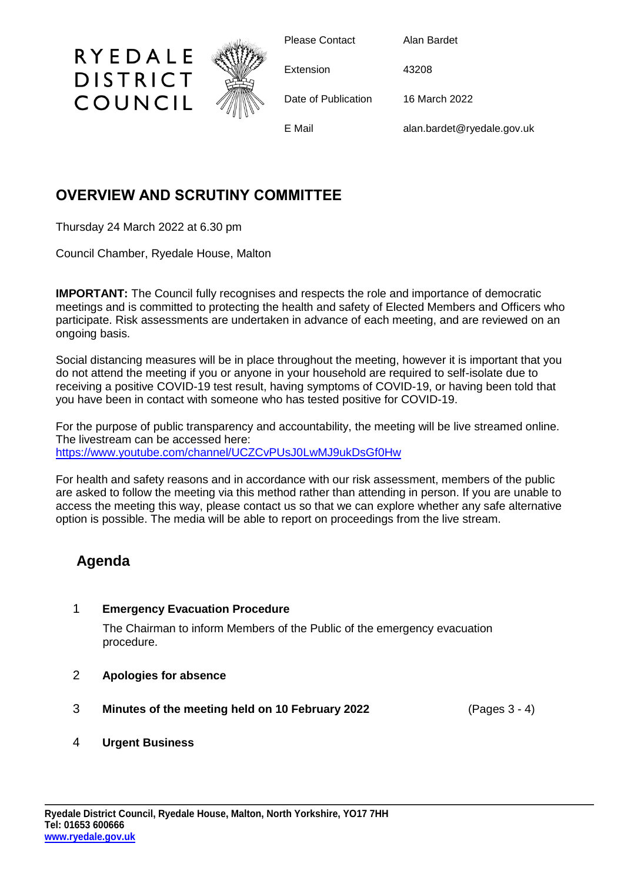

Please Contact Alan Bardet

Extension 43208

Date of Publication 16 March 2022

E Mail alan.bardet@ryedale.gov.uk

## **OVERVIEW AND SCRUTINY COMMITTEE**

Thursday 24 March 2022 at 6.30 pm

RYEDALE

**DISTRICT** 

COUNCIL

Council Chamber, Ryedale House, Malton

**IMPORTANT:** The Council fully recognises and respects the role and importance of democratic meetings and is committed to protecting the health and safety of Elected Members and Officers who participate. Risk assessments are undertaken in advance of each meeting, and are reviewed on an ongoing basis.

Social distancing measures will be in place throughout the meeting, however it is important that you do not attend the meeting if you or anyone in your household are required to self-isolate due to receiving a positive COVID-19 test result, having symptoms of COVID-19, or having been told that you have been in contact with someone who has tested positive for COVID-19.

For the purpose of public transparency and accountability, the meeting will be live streamed online. The livestream can be accessed here: <https://www.youtube.com/channel/UCZCvPUsJ0LwMJ9ukDsGf0Hw>

For health and safety reasons and in accordance with our risk assessment, members of the public are asked to follow the meeting via this method rather than attending in person. If you are unable to access the meeting this way, please contact us so that we can explore whether any safe alternative option is possible. The media will be able to report on proceedings from the live stream.

## **Agenda**

## 1 **Emergency Evacuation Procedure**

The Chairman to inform Members of the Public of the emergency evacuation procedure.

- 2 **Apologies for absence**
- 3 **Minutes of the meeting held on 10 February 2022** (Pages 3 4)
- 4 **Urgent Business**